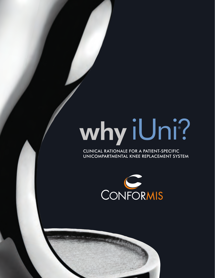# why iUni? ®

CLINICAL RATIONALE FOR A PATIENT-SPECIFIC UNICOMPARTMENTAL KNEE REPLACEMENT SYSTEM

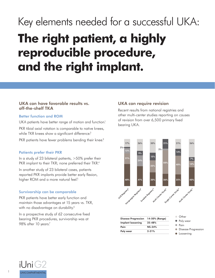# Key elements needed for a successful UKA: **The right patient, a highly reproducible procedure, and the right implant.**

#### UKA can have favorable results vs. off-the-shelf TKA

#### Better function and ROM

UKA patients have better range of motion and function.<sup>1</sup> PKR tibial axial rotation is comparable to native knees, while TKR knees show a significant difference.<sup>2</sup>

PKR patients have fewer problems bending their knee.<sup>3</sup>

#### Patients prefer their PKR

In a study of 23 bilateral patients, >50% prefer their PKR implant to their TKR; none preferred their TKR.<sup>4</sup>

In another study of 23 bilateral cases, patients reported PKR implants provide better early flexion, higher ROM and a more natural feel.<sup>5</sup>

#### Survivorship can be comparable

PKR patients have better early function and maintain those advantages at 15 years vs. TKR, with no disadvantage on durability.<sup>6</sup>

In a prospective study of 62 consecutive fixed bearing PKR procedures, survivorship was at 98% after 10 years?

#### UKA can require revision

Recent results from national registries and other multi-center studies reporting on causes of revision from over 6,500 primary fixed bearing UKA.



| <b>Disease Progression</b> | 14-50% (Range) |
|----------------------------|----------------|
| Implant loosening          | $25 - 48%$     |
| Pain                       | $NS-24%$       |
| Poly wear                  | $2 - 21%$      |

- Other
- Poly wear
- Pain
- Disease Progression
- **•** Loosening

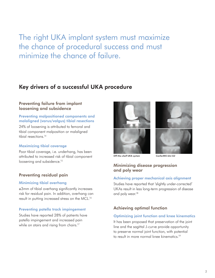The right UKA implant system must maximize the chance of procedural success and must minimize the chance of failure.

#### Key drivers of a successful UKA procedure

#### Preventing failure from implant loosening and subsidence

#### Preventing malpositioned components and malaligned (varus/valgus) tibial resections

24% of loosening is attributed to femoral and tibial component malposition or malaligned tibial resections.14

#### Maximizing tibial coverage

Poor tibial coverage, i.e. underhang, has been attributed to increased risk of tibial component loosening and subsidence.<sup>15</sup>

#### Preventing residual pain

#### Minimizing tibial overhang

≥3mm of tibial overhang significantly increases risk for residual pain. In addition, overhang can result in putting increased stress on the MCL.16

#### Preventing patella track impingement

Studies have reported 28% of patients have patella impingement and increased pain while on stairs and rising from chairs.<sup>17</sup>





*Off-the-shelf UKA system ConforMIS iUni G2*

#### Minimizing disease progression and poly wear

#### Achieving proper mechanical axis alignment

Studies have reported that 'slightly under-corrected' UKAs result in less long-term progression of disease and poly wear.<sup>18</sup>

#### Achieving optimal function

#### Optimizing joint function and knee kinematics

It has been proposed that preservation of the joint line and the sagittal J-curve provide opportunity to preserve normal joint function, with potential to result in more normal knee kinematics<sup>19</sup>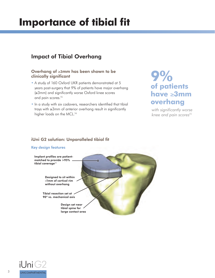## **Importance of tibial fit**

#### Impact of Tibial Overhang

#### Overhang of ≥3mm has been shown to be clinically significant

- A study of 160 Oxford UKR patients demonstrated at 5 years post-surgery that 9% of patients have major overhang  $(\geq 3$ mm) and significantly worse Oxford knee scores and pain scores.<sup>15</sup>
- In a study with six cadavers, researchers identified that tibial trays with  $\geq 3$ mm of anterior overhang result in significantly higher loads on the MCL.<sup>16</sup>

### **9% of patients have** ≥**3mm overhang**

with significantly worse *knee and pain scores15*

#### iUni G2 solution: Unparalleled tibial fit

#### Key design features Implant profiles are patientmatched to provide >95% tibial coverage $^{20}$ Designed to sit within<br>≈1mm of cortical rim ≈1mm of cortical rim without overhang Tibial resection set at 90º vs. mechanical axis Design set near tibial spine for large contact area

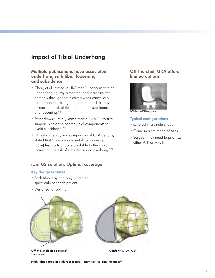#### Impact of Tibial Underhang

#### Multiple publications have associated underhang with tibial loosening and subsidence

- Chau, et al., stated in UKA that "…concern with an under-hanging tray is that the load is transmitted primarily through the relatively weak cancellous rather than the stronger cortical bone. This may increase the risk of tibial component subsidence and loosening."15
- Swienckowski, et al., stated that in UKA "…cortical support is essential for the tibial components to avoid subsidence."21
- Fitzpatrick, et al., in a comparison of UKA designs, stated that "Unicompartmental components [have] less cortical bone available to the implant, increasing the risk of subsidence and overhang."22

#### iUni G2 solution: Optimal coverage

#### Key design features

- Each tibial tray and poly is created specifically for each patient
- Designed for optimal fit



Off-the-shelf size options $^{23}$ Size 5 in bold



ConforMIS iUni G2<sup>23</sup>

Highlighted area in pink represents 1.5mm cortical rim thickness<sup>22</sup>

#### Off-the-shelf UKA offers limited options



*Off-the-shelf UKA system*

#### **Typical configurations**

- Offered in a single shape
- Come in a set range of sizes
- Surgeon may need to prioritize either A/P or M/L fit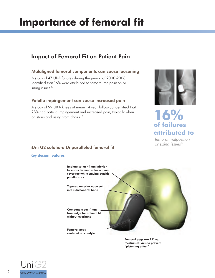## **Importance of femoral fit**

#### Impact of Femoral Fit on Patient Pain

#### Malaligned femoral components can cause loosening

A study of 47 UKA failures during the period of 2000-2008, identified that 16% were attributed to femoral malposition or sizing issues.<sup>14</sup>

#### Patella impingement can cause increased pain

A study of 99 UKA knees at mean 14 year follow-up identified that 28% had patella impingement and increased pain, typically when on stairs and rising from chairs.<sup>17</sup>



## **16% of failures attributed to**

*femoral malposition or sizing issues14*

#### iUni G2 solution: Unparalleled femoral fit

Key design features



Femoral pegs are 22° vs. mechanical axis to prevent "pistoning effect"

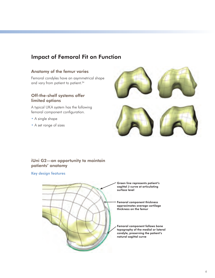#### Impact of Femoral Fit on Function

#### Anatomy of the femur varies

Femoral condyles have an asymmetrical shape and vary from patient to patient.<sup>24</sup>

#### Off-the-shelf systems offer limited options

A typical UKA system has the following femoral component configuration.

- A single shape
- A set range of sizes



#### iUni G2—an opportunity to maintain patients' anatomy

#### Key design features



Green line represents patient's sagittal J-curve at articulating surface level

Femoral component thickness approximates average cartilage thickness on the femur

Femoral component follows bone topography of the medial or lateral condyle, preserving the patient's natural sagittal curve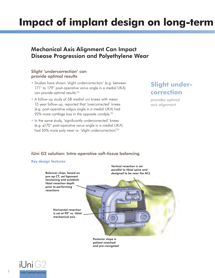## **Impact of implant design on long-term**

#### Mechanical Axis Alignment Can Impact Disease Progression and Polyethylene Wear

#### Slight 'undercorrection' can provide optimal results

- Studies have shown 'slight undercorrection' (e.g. between 171° to 179° post-operative varus angle in a medial UKA) can provide optimal results.<sup>25</sup>
- A follow-up study of 58 medial uni knees with mean 15 year follow-up, reported that 'overcorrected' knees (e.g. post-operative valgus angle in a medial UKA) had 92% more cartilage loss in the opposite condyle.<sup>25</sup>
- In the same study, 'significantly undercorrected' knees (e.g. ≤170° post-operative varus angle in a medial UKA) had 50% more poly wear vs. 'slight undercorrection.'25

#### **Slight undercorrection**

*provides optimal axis alignment*

#### iUni G2 solution: Intra-operative soft-tissue balancing

#### Key design features



patient-matched and pre-navigated

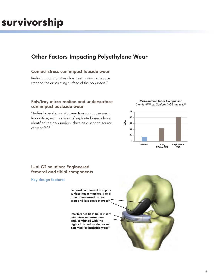## **m survivorship**

#### Other Factors Impacting Polyethylene Wear

#### Contact stress can impact topside wear

Reducing contact stress has been shown to reduce wear on the articulating surface of the poly insert.<sup>26</sup>

#### Poly/tray micro-motion and undersurface can impact backside wear

Studies have shown micro-motion can cause wear. In addition, examinations of explanted inserts have identified the poly undersurface as a second source of wear.27, 28



Micro-motion Index Comparison

#### iUni G2 solution: Engineered femoral and tibial components

#### Key design features

Femoral component and poly surface has a matched 1-to-5 ratio of increased contact area and less contact stress<sup>26</sup>

Interference fit of tibial insert minimizes micro-motion and, combined with the highly finished inside pocket, potential for backside wear<sup>31</sup>

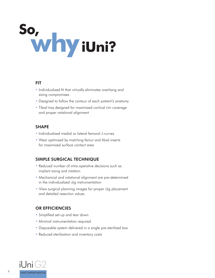# So,<br>Why iUni?

#### FIT

- Individualized fit that virtually eliminates overhang and sizing compromises
- Designed to follow the contour of each patient's anatomy
- Tibial tray designed for maximized cortical rim coverage and proper rotational alignment

#### SHAPE

- Individualized medial or lateral femoral J-curves
- Wear optimized by matching femur and tibial inserts for maximized surface contact area

#### SIMPLE SURGICAL TECHNIQUE

- Reduced number of intra-operative decisions such as implant sizing and rotation
- Mechanical and rotational alignment are pre-determined in the individualized iJig instrumentation
- iView surgical planning images for proper iJig placement and detailed resection values

#### OR EFFICIENCIES

- Simplified set-up and tear down
- Minimal instrumentation required
- Disposable system delivered in a single pre-sterilized box
- Reduced sterilization and inventory costs

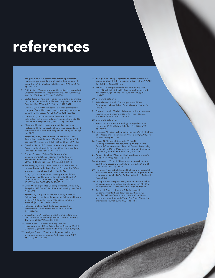# **references**

- 1. Rougraff B, et al.; "A comparison of tricompartmental and unicompartmental arthroplasty for the treatment of gonarthrosis"; Clin Orthop Relat Res; Dec 1991; Vol. 273: pp. 157–164
- 2. Patil S, et al.; "Can normal knee kinematics be restored with unicompartmental knee replacement?"; J Bone Joint Surg AM; Feb 2005; Vol. 87(2): pp. 332-338
- 3. Lastad-Lygre S., Pain and function in patients after primary unicompartmental and total knee arthroplasty; J Bone Joint Surg Am; Dec 2010; Vol. 92(18): pp. 2890-2897
- 4. Dalury D., et al.; "Unicompartmental knee arthroplasty compares favorably to total knee arthroplasty in the same patient"; Orthopedics; Apr 2009; Vol. 32(4): pp. 253
- 5. Laurencin C; Unicompartmental versus total knee arthroplasty in the same patient: A comparative study; Clin Orthop Relat Res; Dec 1991; Vol. 273: pp. 151-156
- 6. Newman JH, et al.; Unicompartmental or total knee replacement? 15 year results of a prospective, randomized controlled trial; J Bone Joint Surg Br; Jan 2009; Vol. 91-B(1): pp. 52-57
- 7. Berger RA, et al.; "Results of Unicompartmental Knee Arthroplasty at a Minimum of Ten Years of Follow-up"; J Bone Joint Surg Am; May 2005; Vol. 87(5): pp. 999-1006
- 8. Davidson, D., et al.;" Hip and Knee Arthroplasty Annual Report; National Joint Replacement Registry; Australian Orthopaedic Association; 2011; P112
- 9. Furnes, O., et al.; "Failure Mechanisms After Unicompartmental and Tricompartmental Primary Knee Replacement with Cement"; JBJS; Mar 2007; V89-A:N3;PP519-525; doi:10.2106/JBJS.F.00210
- 10. Sundberg, M, et al.; "Annual Report 2011 The Swedish Knee Arthroplasty Register; Dept. of Orthopedics, Skåne University Hospital, Lund; 2011; Part II, P23
- 11. Gioe, T., Et. Al.; "Analysis of Unicompartmental Knee Arthroplasty in a Community-Based Implant Registry"; CORR; Nov 2003; Number 416, pp. 111–119; DOI: 10.1097/01.blo.0000093004.90435.d1
- 12. Citak, M., et. al.; "Failed Unicompartmental Arthroplasty : Analysis of 471 Cases"; AAHKS Annual Meeting; Nov 2012; Poster #58
- 13. Epinette, J., et al.; "UKA knee arthroplasty modes of failure: Wear is not the main reason for failure: multicentre study of 418 failed knees"; Orth& Traum: Surgery & Research (2012) 98S, S124—S130
- 14. Fehring, TK, et al.; "Early Failures in Unicondylar Arthroplasty"; Orthopedics; Jan 2010; V33: Issue 1:pp.1124-10
- 15. Chau, R., et al.; "Tibial component overhang following unicompartmental knee replacement - does it matter?"; The Knee; 2009; V16:pp. 310-313
- 16. Gudena, et al., "A Safe Overhang Limit for Unicompartmental Knee Arthroplasties Based on Medial Collateral Ligament Strains: An In Vitro Study"; JOA; 2012
- 17. Hernigou, P, et al.; "Patellar impingement following unicompartmental arthroplasty"; JBJS(Am); July 2002; V84-A(7); pp. 1132-1137
- 18. Hernigou, Ph., et al; "Alignment Influences Wear in the Knee after Medial Unicompartmental Arthroplasty"; CORR; Jun 2004; V423:pp.161–165
- 19. Fitz, W.; "Unicompartmental Knee Arthroplasty with Use of Novel Patient-Specific Resurfacing Implants and Personalized Jigs"; J Bone Joint Surg Am; 2009; V91- 1:P69-76
- 20. ConforMIS data on file
- 21. Swienckowski, J, et al.; "Unicompartmental Knee Arthroplasty in Patients Sixty Years of Age or Younger"; JBJS;2004
- 22. Fitzpatrick, et al.; "Statistical design of unicompartmental tibial implants and comparison with current devices"; The Knee; 2007; V14:pp. 138–144
- 23. ConforMIS data on file
- 24. Mensch, et al.; "Knee morphology as a guide to knee replacement"; Clin Orthop Relat Res; Oct 1975; V112 pp. 231:241
- 25. Hernigou, Ph., et al; "Alignment Influences Wear in the Knee after Medial Unicompartmental Arthroplasty"; CORR; Jun 2004; V423:pp.161–165
- 26. Steklov N, Slamin J, Srivastav S, D'Lima D. Unicompartmental Knee Resurfacing: Enlarged Tibio-Femoral Contact Area and Reduced Contact Stress Using Novel Patient-Derived Geometrics. The Open Biomedical Engineering Journal. February 2010, 4, 85-92
- 27. Parks,, NL., et al.; "Modular Tibial Insert Micro-motion"; CORR; Nov 1998; V356: pp.10–15
- 28. Wasielewski, RC, et al: "Tibial insert undersurface as a contributing source of polyethylene wear debris"; CORR; Nov 2002; V345: pp. 53-59
- 29. J. Slamin. A new cobalt chrome tibial tray and moderately cross-linked tibial insert is added to the PFC Sigma modular knee system, Slamin, DePuy Orthopaedics, Inc.; Technical Paper, 2005
- 30. G. Engh, Tibial baseplate wear; a major source of debris with contemporary modular knee implants, AAOS, 67th Annual Meeting-Scientific Exhibit, Orlando, Florida.
- 31. Steklov N, Chao N, Srivastav S. Patient-Specific Unicompartmental Knee Resurfacing Arthroplasty: Use of Novel Interference Lock to Reduce Tibial Insert Micro-motion and Backside Wear. The Open Biomedical Engineering Journal. July 2010, 4, 151-156

10

**ANTIQUES**